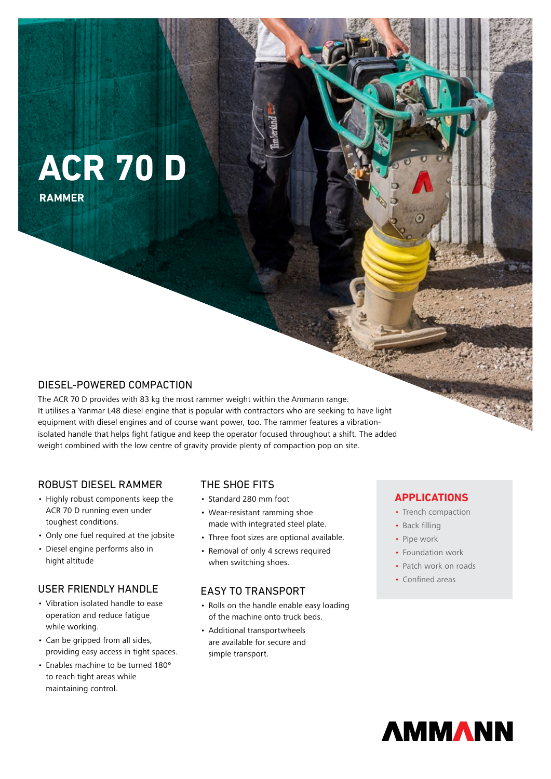# **ACR 70 D**

**RAMMER**

# DIESEL-POWERED COMPACTION

The ACR 70 D provides with 83 kg the most rammer weight within the Ammann range. It utilises a Yanmar L48 diesel engine that is popular with contractors who are seeking to have light equipment with diesel engines and of course want power, too. The rammer features a vibrationisolated handle that helps fight fatigue and keep the operator focused throughout a shift. The added weight combined with the low centre of gravity provide plenty of compaction pop on site.

## ROBUST DIESEL RAMMER

- Highly robust components keep the ACR 70 D running even under toughest conditions.
- Only one fuel required at the jobsite
- Diesel engine performs also in hight altitude

## USER FRIENDLY HANDLE

- Vibration isolated handle to ease operation and reduce fatigue while working.
- Can be gripped from all sides, providing easy access in tight spaces.
- Enables machine to be turned 180º to reach tight areas while maintaining control.

## THE SHOE FITS

- Standard 280 mm foot
- Wear-resistant ramming shoe made with integrated steel plate.
- Three foot sizes are optional available.
- Removal of only 4 screws required when switching shoes.

## EASY TO TRANSPORT

- Rolls on the handle enable easy loading of the machine onto truck beds.
- Additional transportwheels are available for secure and simple transport.

## **APPLICATIONS**

- Trench compaction
- Back filling
- Pipe work
- Foundation work
- Patch work on roads
- Confined areas